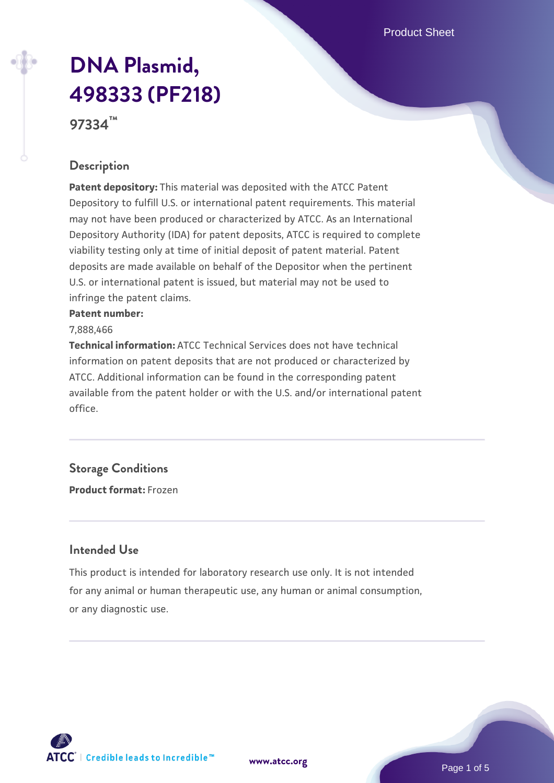# **[DNA Plasmid,](https://www.atcc.org/products/97334) [498333 \(PF218\)](https://www.atcc.org/products/97334)**

**97334™**

#### **Description**

**Patent depository:** This material was deposited with the ATCC Patent Depository to fulfill U.S. or international patent requirements. This material may not have been produced or characterized by ATCC. As an International Depository Authority (IDA) for patent deposits, ATCC is required to complete viability testing only at time of initial deposit of patent material. Patent deposits are made available on behalf of the Depositor when the pertinent U.S. or international patent is issued, but material may not be used to infringe the patent claims.

#### **Patent number:**

7,888,466

**Technical information:** ATCC Technical Services does not have technical information on patent deposits that are not produced or characterized by ATCC. Additional information can be found in the corresponding patent available from the patent holder or with the U.S. and/or international patent office.

#### **Storage Conditions**

**Product format:** Frozen

#### **Intended Use**

This product is intended for laboratory research use only. It is not intended for any animal or human therapeutic use, any human or animal consumption, or any diagnostic use.

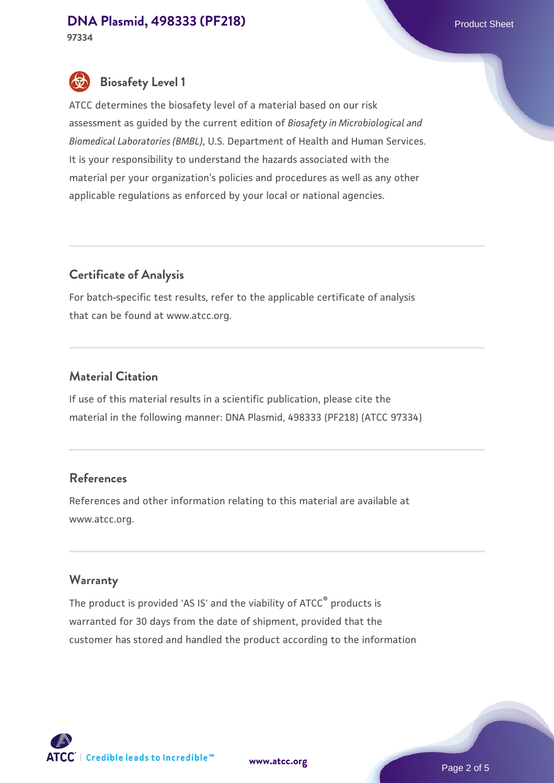# **[DNA Plasmid, 498333 \(PF218\)](https://www.atcc.org/products/97334)** Product Sheet

**97334**

### **Biosafety Level 1**

ATCC determines the biosafety level of a material based on our risk assessment as guided by the current edition of *Biosafety in Microbiological and Biomedical Laboratories (BMBL)*, U.S. Department of Health and Human Services. It is your responsibility to understand the hazards associated with the material per your organization's policies and procedures as well as any other applicable regulations as enforced by your local or national agencies.

#### **Certificate of Analysis**

For batch-specific test results, refer to the applicable certificate of analysis that can be found at www.atcc.org.

#### **Material Citation**

If use of this material results in a scientific publication, please cite the material in the following manner: DNA Plasmid, 498333 (PF218) (ATCC 97334)

#### **References**

References and other information relating to this material are available at www.atcc.org.

#### **Warranty**

The product is provided 'AS IS' and the viability of ATCC<sup>®</sup> products is warranted for 30 days from the date of shipment, provided that the customer has stored and handled the product according to the information

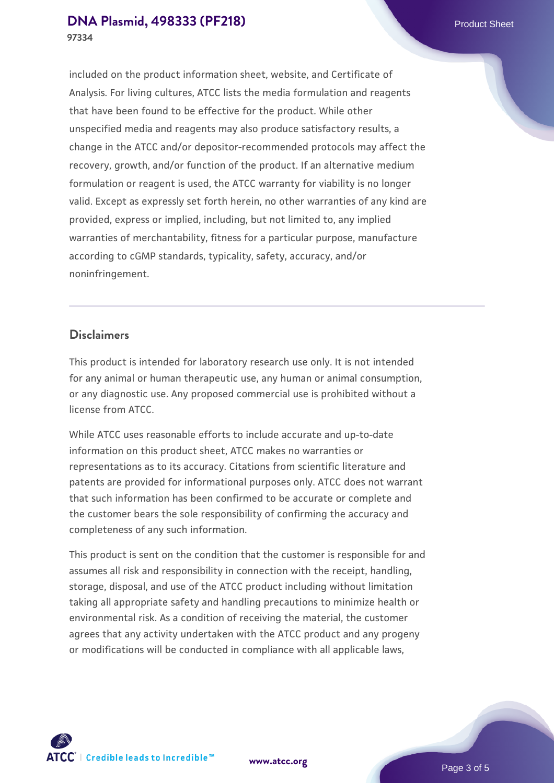#### **[DNA Plasmid, 498333 \(PF218\)](https://www.atcc.org/products/97334)** Product Sheet **97334**

included on the product information sheet, website, and Certificate of Analysis. For living cultures, ATCC lists the media formulation and reagents that have been found to be effective for the product. While other unspecified media and reagents may also produce satisfactory results, a change in the ATCC and/or depositor-recommended protocols may affect the recovery, growth, and/or function of the product. If an alternative medium formulation or reagent is used, the ATCC warranty for viability is no longer valid. Except as expressly set forth herein, no other warranties of any kind are provided, express or implied, including, but not limited to, any implied warranties of merchantability, fitness for a particular purpose, manufacture according to cGMP standards, typicality, safety, accuracy, and/or noninfringement.

#### **Disclaimers**

This product is intended for laboratory research use only. It is not intended for any animal or human therapeutic use, any human or animal consumption, or any diagnostic use. Any proposed commercial use is prohibited without a license from ATCC.

While ATCC uses reasonable efforts to include accurate and up-to-date information on this product sheet, ATCC makes no warranties or representations as to its accuracy. Citations from scientific literature and patents are provided for informational purposes only. ATCC does not warrant that such information has been confirmed to be accurate or complete and the customer bears the sole responsibility of confirming the accuracy and completeness of any such information.

This product is sent on the condition that the customer is responsible for and assumes all risk and responsibility in connection with the receipt, handling, storage, disposal, and use of the ATCC product including without limitation taking all appropriate safety and handling precautions to minimize health or environmental risk. As a condition of receiving the material, the customer agrees that any activity undertaken with the ATCC product and any progeny or modifications will be conducted in compliance with all applicable laws,



**[www.atcc.org](http://www.atcc.org)**

Page 3 of 5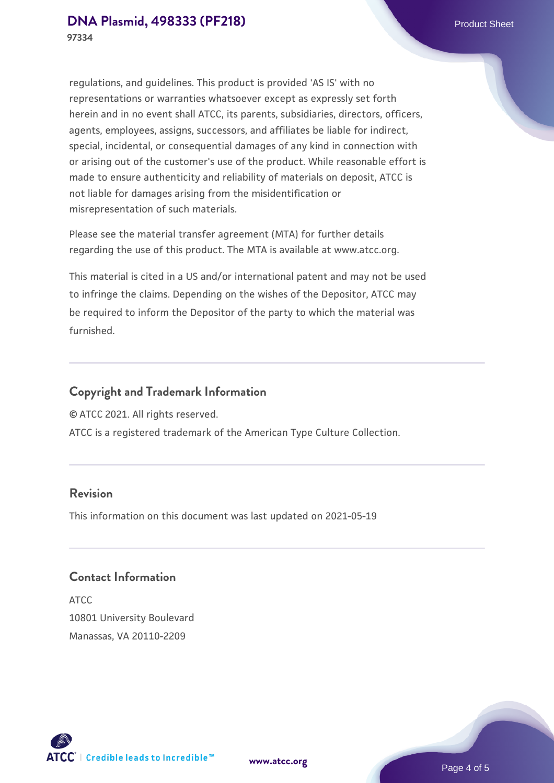regulations, and guidelines. This product is provided 'AS IS' with no representations or warranties whatsoever except as expressly set forth herein and in no event shall ATCC, its parents, subsidiaries, directors, officers, agents, employees, assigns, successors, and affiliates be liable for indirect, special, incidental, or consequential damages of any kind in connection with or arising out of the customer's use of the product. While reasonable effort is made to ensure authenticity and reliability of materials on deposit, ATCC is not liable for damages arising from the misidentification or misrepresentation of such materials.

Please see the material transfer agreement (MTA) for further details regarding the use of this product. The MTA is available at www.atcc.org.

This material is cited in a US and/or international patent and may not be used to infringe the claims. Depending on the wishes of the Depositor, ATCC may be required to inform the Depositor of the party to which the material was furnished.

#### **Copyright and Trademark Information**

© ATCC 2021. All rights reserved.

ATCC is a registered trademark of the American Type Culture Collection.

#### **Revision**

This information on this document was last updated on 2021-05-19

#### **Contact Information**

ATCC 10801 University Boulevard Manassas, VA 20110-2209